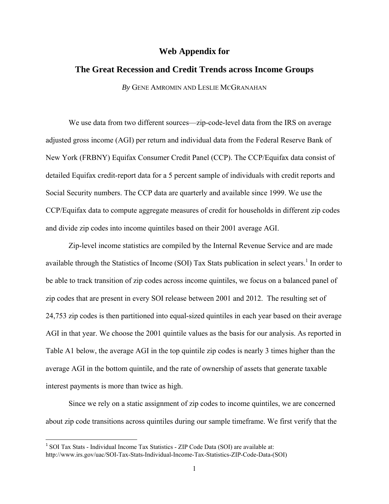## **Web Appendix for**

## **The Great Recession and Credit Trends across Income Groups**

*By* GENE AMROMIN AND LESLIE MCGRANAHAN

We use data from two different sources—zip-code-level data from the IRS on average adjusted gross income (AGI) per return and individual data from the Federal Reserve Bank of New York (FRBNY) Equifax Consumer Credit Panel (CCP). The CCP/Equifax data consist of detailed Equifax credit-report data for a 5 percent sample of individuals with credit reports and Social Security numbers. The CCP data are quarterly and available since 1999. We use the CCP/Equifax data to compute aggregate measures of credit for households in different zip codes and divide zip codes into income quintiles based on their 2001 average AGI.

Zip-level income statistics are compiled by the Internal Revenue Service and are made available through the Statistics of Income (SOI) Tax Stats publication in select years.<sup>1</sup> In order to be able to track transition of zip codes across income quintiles, we focus on a balanced panel of zip codes that are present in every SOI release between 2001 and 2012. The resulting set of 24,753 zip codes is then partitioned into equal-sized quintiles in each year based on their average AGI in that year. We choose the 2001 quintile values as the basis for our analysis. As reported in Table A1 below, the average AGI in the top quintile zip codes is nearly 3 times higher than the average AGI in the bottom quintile, and the rate of ownership of assets that generate taxable interest payments is more than twice as high.

Since we rely on a static assignment of zip codes to income quintiles, we are concerned about zip code transitions across quintiles during our sample timeframe. We first verify that the

<sup>&</sup>lt;sup>1</sup> SOI Tax Stats - Individual Income Tax Statistics - ZIP Code Data (SOI) are available at: http://www.irs.gov/uac/SOI-Tax-Stats-Individual-Income-Tax-Statistics-ZIP-Code-Data-(SOI)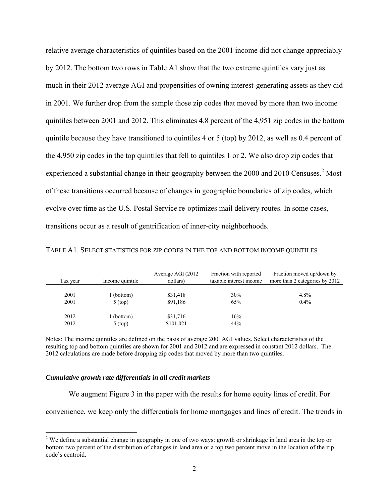relative average characteristics of quintiles based on the 2001 income did not change appreciably by 2012. The bottom two rows in Table A1 show that the two extreme quintiles vary just as much in their 2012 average AGI and propensities of owning interest-generating assets as they did in 2001. We further drop from the sample those zip codes that moved by more than two income quintiles between 2001 and 2012. This eliminates 4.8 percent of the 4,951 zip codes in the bottom quintile because they have transitioned to quintiles 4 or 5 (top) by 2012, as well as 0.4 percent of the 4,950 zip codes in the top quintiles that fell to quintiles 1 or 2. We also drop zip codes that experienced a substantial change in their geography between the 2000 and 2010 Censuses.<sup>2</sup> Most of these transitions occurred because of changes in geographic boundaries of zip codes, which evolve over time as the U.S. Postal Service re-optimizes mail delivery routes. In some cases, transitions occur as a result of gentrification of inner-city neighborhoods.

| Tax year | Income quintile | Average AGI (2012)<br>dollars) | Fraction with reported<br>taxable interest income | Fraction moved up/down by<br>more than 2 categories by 2012 |
|----------|-----------------|--------------------------------|---------------------------------------------------|-------------------------------------------------------------|
| 2001     | (bottom)        | \$31,418                       | 30%                                               | 4.8%                                                        |
| 2001     | $5$ (top)       | \$91.186                       | 65%                                               | $0.4\%$                                                     |
| 2012     | (bottom)        | \$31,716                       | 16%                                               |                                                             |
| 2012     | $5$ (top)       | \$101,021                      | 44%                                               |                                                             |

TABLE A1. SELECT STATISTICS FOR ZIP CODES IN THE TOP AND BOTTOM INCOME QUINTILES

Notes: The income quintiles are defined on the basis of average 2001AGI values. Select characteristics of the resulting top and bottom quintiles are shown for 2001 and 2012 and are expressed in constant 2012 dollars. The 2012 calculations are made before dropping zip codes that moved by more than two quintiles.

## *Cumulative growth rate differentials in all credit markets*

We augment Figure 3 in the paper with the results for home equity lines of credit. For

convenience, we keep only the differentials for home mortgages and lines of credit. The trends in

<sup>&</sup>lt;sup>2</sup> We define a substantial change in geography in one of two ways: growth or shrinkage in land area in the top or bottom two percent of the distribution of changes in land area or a top two percent move in the location of the zip code's centroid.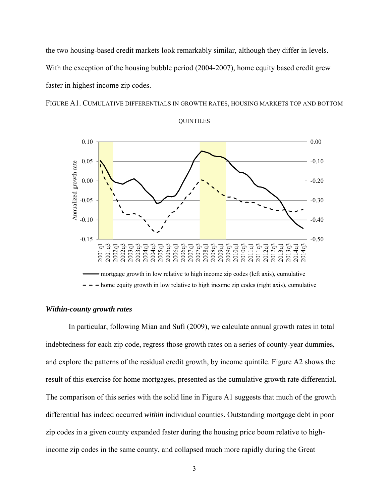the two housing-based credit markets look remarkably similar, although they differ in levels. With the exception of the housing bubble period (2004-2007), home equity based credit grew faster in highest income zip codes.

FIGURE A1. CUMULATIVE DIFFERENTIALS IN GROWTH RATES, HOUSING MARKETS TOP AND BOTTOM





## *Within-county growth rates*

In particular, following Mian and Sufi (2009), we calculate annual growth rates in total indebtedness for each zip code, regress those growth rates on a series of county-year dummies, and explore the patterns of the residual credit growth, by income quintile. Figure A2 shows the result of this exercise for home mortgages, presented as the cumulative growth rate differential. The comparison of this series with the solid line in Figure A1 suggests that much of the growth differential has indeed occurred *within* individual counties. Outstanding mortgage debt in poor zip codes in a given county expanded faster during the housing price boom relative to highincome zip codes in the same county, and collapsed much more rapidly during the Great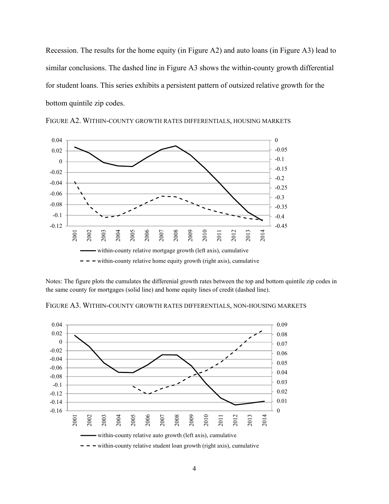Recession. The results for the home equity (in Figure A2) and auto loans (in Figure A3) lead to similar conclusions. The dashed line in Figure A3 shows the within-county growth differential for student loans. This series exhibits a persistent pattern of outsized relative growth for the bottom quintile zip codes.



FIGURE A2. WITHIN-COUNTY GROWTH RATES DIFFERENTIALS, HOUSING MARKETS

Notes: The figure plots the cumulates the differenial growth rates between the top and bottom quintile zip codes in the same county for mortgages (solid line) and home equity lines of credit (dashed line).

FIGURE A3. WITHIN-COUNTY GROWTH RATES DIFFERENTIALS, NON-HOUSING MARKETS